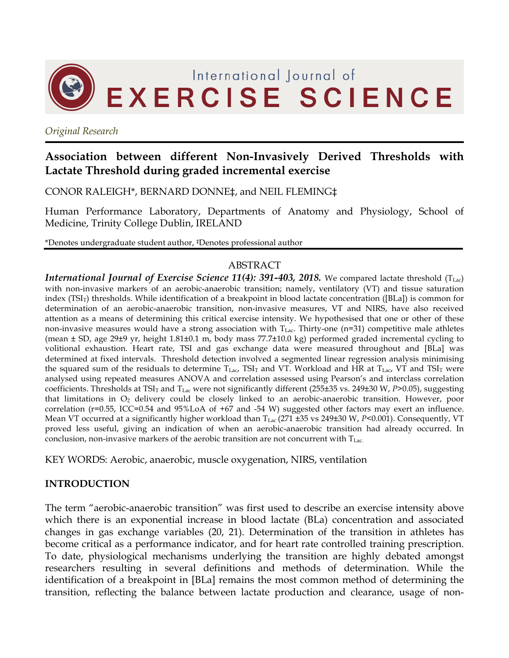

*Original Research*

# **Association between different Non-Invasively Derived Thresholds with Lactate Threshold during graded incremental exercise**

CONOR RALEIGH\*, BERNARD DONNE‡, and NEIL FLEMING‡

Human Performance Laboratory, Departments of Anatomy and Physiology, School of Medicine, Trinity College Dublin, IRELAND

\*Denotes undergraduate student author, ‡Denotes professional author

#### ABSTRACT

*International Journal of Exercise Science 11(4): 391-403, 2018.* We compared lactate threshold (T<sub>Lac</sub>) with non-invasive markers of an aerobic-anaerobic transition; namely, ventilatory (VT) and tissue saturation index (TSI<sub>T</sub>) thresholds. While identification of a breakpoint in blood lactate concentration ([BLa]) is common for determination of an aerobic-anaerobic transition, non-invasive measures, VT and NIRS, have also received attention as a means of determining this critical exercise intensity. We hypothesised that one or other of these non-invasive measures would have a strong association with  $T_{Lac}$ . Thirty-one (n=31) competitive male athletes (mean ± SD, age 29±9 yr, height 1.81±0.1 m, body mass 77.7±10.0 kg) performed graded incremental cycling to volitional exhaustion. Heart rate, TSI and gas exchange data were measured throughout and [BLa] was determined at fixed intervals. Threshold detection involved a segmented linear regression analysis minimising the squared sum of the residuals to determine  $T_{Lac}$ , TSI<sub>T</sub> and VT. Workload and HR at  $T_{Lac}$ , VT and TSI<sub>T</sub> were analysed using repeated measures ANOVA and correlation assessed using Pearson's and interclass correlation coefficients. Thresholds at TSI<sub>T</sub> and T<sub>Lac</sub> were not significantly different (255±35 vs. 249±30 W, *P*>0.05), suggesting that limitations in  $O_2$  delivery could be closely linked to an aerobic-anaerobic transition. However, poor correlation (r=0.55, ICC=0.54 and 95%LoA of +67 and -54 W) suggested other factors may exert an influence. Mean VT occurred at a significantly higher workload than T<sub>Lac</sub> (271 ±35 vs 249±30 W, *P*<0.001). Consequently, VT proved less useful, giving an indication of when an aerobic-anaerobic transition had already occurred. In conclusion, non-invasive markers of the aerobic transition are not concurrent with  $T_{\text{Lac}}$ .

KEY WORDS: Aerobic, anaerobic, muscle oxygenation, NIRS, ventilation

### **INTRODUCTION**

The term "aerobic-anaerobic transition" was first used to describe an exercise intensity above which there is an exponential increase in blood lactate (BLa) concentration and associated changes in gas exchange variables (20, 21). Determination of the transition in athletes has become critical as a performance indicator, and for heart rate controlled training prescription. To date, physiological mechanisms underlying the transition are highly debated amongst researchers resulting in several definitions and methods of determination. While the identification of a breakpoint in [BLa] remains the most common method of determining the transition, reflecting the balance between lactate production and clearance, usage of non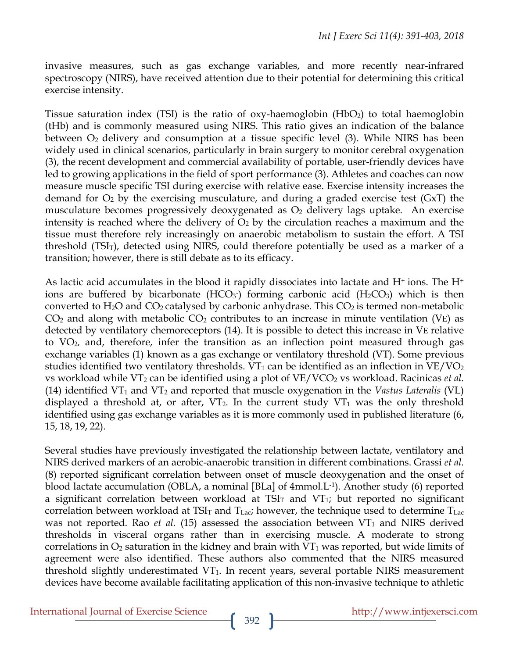invasive measures, such as gas exchange variables, and more recently near-infrared spectroscopy (NIRS), have received attention due to their potential for determining this critical exercise intensity.

Tissue saturation index (TSI) is the ratio of oxy-haemoglobin  $(HbO<sub>2</sub>)$  to total haemoglobin (tHb) and is commonly measured using NIRS. This ratio gives an indication of the balance between O2 delivery and consumption at a tissue specific level (3). While NIRS has been widely used in clinical scenarios, particularly in brain surgery to monitor cerebral oxygenation (3), the recent development and commercial availability of portable, user-friendly devices have led to growing applications in the field of sport performance (3). Athletes and coaches can now measure muscle specific TSI during exercise with relative ease. Exercise intensity increases the demand for  $O_2$  by the exercising musculature, and during a graded exercise test (GxT) the musculature becomes progressively deoxygenated as  $O<sub>2</sub>$  delivery lags uptake. An exercise intensity is reached where the delivery of  $O<sub>2</sub>$  by the circulation reaches a maximum and the tissue must therefore rely increasingly on anaerobic metabolism to sustain the effort. A TSI threshold (TSI<sub>T</sub>), detected using NIRS, could therefore potentially be used as a marker of a transition; however, there is still debate as to its efficacy.

As lactic acid accumulates in the blood it rapidly dissociates into lactate and  $H^+$  ions. The  $H^+$ ions are buffered by bicarbonate  $(HCO<sub>3</sub>)$  forming carbonic acid  $(H<sub>2</sub>CO<sub>3</sub>)$  which is then converted to H<sub>2</sub>O and CO<sub>2</sub> catalysed by carbonic anhydrase. This CO<sub>2</sub> is termed non-metabolic  $CO<sub>2</sub>$  and along with metabolic  $CO<sub>2</sub>$  contributes to an increase in minute ventilation (VE) as detected by ventilatory chemoreceptors (14). It is possible to detect this increase in VE relative to VO2, and, therefore, infer the transition as an inflection point measured through gas exchange variables (1) known as a gas exchange or ventilatory threshold (VT). Some previous studies identified two ventilatory thresholds.  $VT_1$  can be identified as an inflection in  $VE/VO_2$ vs workload while VT<sub>2</sub> can be identified using a plot of VE/VCO<sub>2</sub> vs workload. Racinicas *et al.* (14) identified VT1 and VT2 and reported that muscle oxygenation in the *Vastus Lateralis* (VL) displayed a threshold at, or after,  $VT_2$ . In the current study  $VT_1$  was the only threshold identified using gas exchange variables as it is more commonly used in published literature (6, 15, 18, 19, 22).

Several studies have previously investigated the relationship between lactate, ventilatory and NIRS derived markers of an aerobic-anaerobic transition in different combinations. Grassi *et al.*  (8) reported significant correlation between onset of muscle deoxygenation and the onset of blood lactate accumulation (OBLA, a nominal [BLa] of 4mmol.L-1). Another study (6) reported a significant correlation between workload at  $TSI<sub>T</sub>$  and  $VT<sub>T</sub>$ ; but reported no significant correlation between workload at TSI<sub>T</sub> and T<sub>Lac</sub>; however, the technique used to determine T<sub>Lac</sub> was not reported. Rao *et al.* (15) assessed the association between  $VT_1$  and NIRS derived thresholds in visceral organs rather than in exercising muscle. A moderate to strong correlations in  $O_2$  saturation in the kidney and brain with  $VT_1$  was reported, but wide limits of agreement were also identified. These authors also commented that the NIRS measured threshold slightly underestimated VT<sub>1</sub>. In recent years, several portable NIRS measurement devices have become available facilitating application of this non-invasive technique to athletic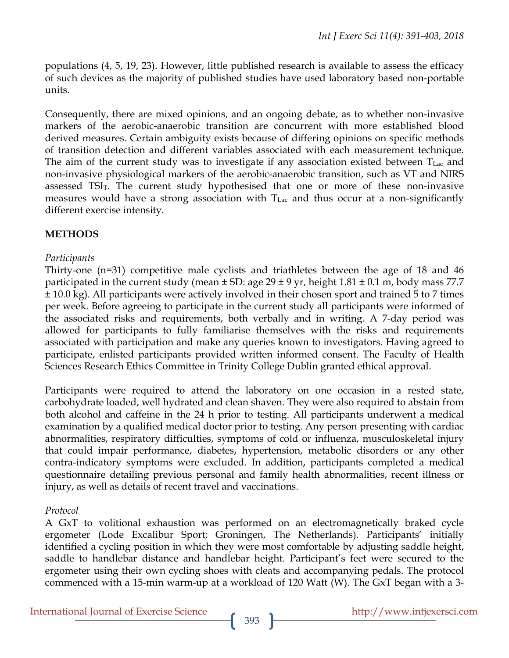populations (4, 5, 19, 23). However, little published research is available to assess the efficacy of such devices as the majority of published studies have used laboratory based non-portable units.

Consequently, there are mixed opinions, and an ongoing debate, as to whether non-invasive markers of the aerobic-anaerobic transition are concurrent with more established blood derived measures. Certain ambiguity exists because of differing opinions on specific methods of transition detection and different variables associated with each measurement technique. The aim of the current study was to investigate if any association existed between  $T_{\text{Lac}}$  and non-invasive physiological markers of the aerobic-anaerobic transition, such as VT and NIRS assessed  $TSI<sub>T</sub>$ . The current study hypothesised that one or more of these non-invasive measures would have a strong association with  $T_{Lac}$  and thus occur at a non-significantly different exercise intensity.

## **METHODS**

### *Participants*

Thirty-one (n=31) competitive male cyclists and triathletes between the age of 18 and 46 participated in the current study (mean  $\pm$  SD: age 29  $\pm$  9 yr, height 1.81  $\pm$  0.1 m, body mass 77.7 ± 10.0 kg). All participants were actively involved in their chosen sport and trained 5 to 7 times per week. Before agreeing to participate in the current study all participants were informed of the associated risks and requirements, both verbally and in writing. A 7-day period was allowed for participants to fully familiarise themselves with the risks and requirements associated with participation and make any queries known to investigators. Having agreed to participate, enlisted participants provided written informed consent. The Faculty of Health Sciences Research Ethics Committee in Trinity College Dublin granted ethical approval.

Participants were required to attend the laboratory on one occasion in a rested state, carbohydrate loaded, well hydrated and clean shaven. They were also required to abstain from both alcohol and caffeine in the 24 h prior to testing. All participants underwent a medical examination by a qualified medical doctor prior to testing. Any person presenting with cardiac abnormalities, respiratory difficulties, symptoms of cold or influenza, musculoskeletal injury that could impair performance, diabetes, hypertension, metabolic disorders or any other contra-indicatory symptoms were excluded. In addition, participants completed a medical questionnaire detailing previous personal and family health abnormalities, recent illness or injury, as well as details of recent travel and vaccinations.

### *Protocol*

A GxT to volitional exhaustion was performed on an electromagnetically braked cycle ergometer (Lode Excalibur Sport; Groningen, The Netherlands). Participants' initially identified a cycling position in which they were most comfortable by adjusting saddle height, saddle to handlebar distance and handlebar height. Participant's feet were secured to the ergometer using their own cycling shoes with cleats and accompanying pedals. The protocol commenced with a 15-min warm-up at a workload of 120 Watt (W). The GxT began with a 3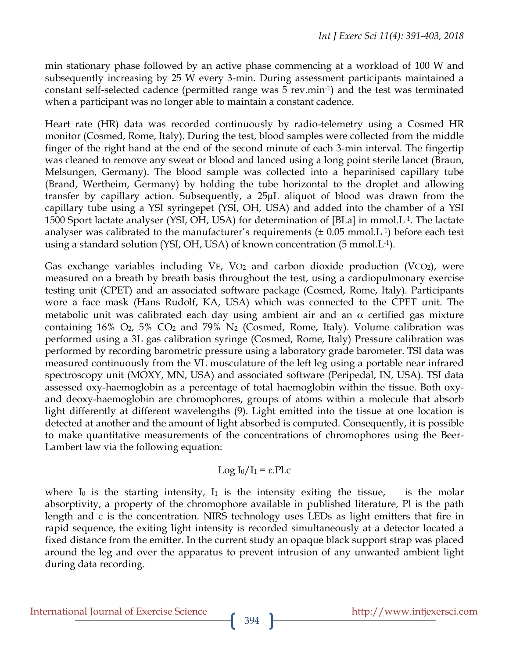min stationary phase followed by an active phase commencing at a workload of 100 W and subsequently increasing by 25 W every 3-min. During assessment participants maintained a constant self-selected cadence (permitted range was 5 rev.min-1) and the test was terminated when a participant was no longer able to maintain a constant cadence.

Heart rate (HR) data was recorded continuously by radio-telemetry using a Cosmed HR monitor (Cosmed, Rome, Italy). During the test, blood samples were collected from the middle finger of the right hand at the end of the second minute of each 3-min interval. The fingertip was cleaned to remove any sweat or blood and lanced using a long point sterile lancet (Braun, Melsungen, Germany). The blood sample was collected into a heparinised capillary tube (Brand, Wertheim, Germany) by holding the tube horizontal to the droplet and allowing transfer by capillary action. Subsequently, a 25µL aliquot of blood was drawn from the capillary tube using a YSI syringepet (YSI, OH, USA) and added into the chamber of a YSI 1500 Sport lactate analyser (YSI, OH, USA) for determination of [BLa] in mmol.L-1. The lactate analyser was calibrated to the manufacturer's requirements  $(\pm 0.05 \text{ mmol.} \text{L}^{-1})$  before each test using a standard solution (YSI, OH, USA) of known concentration (5 mmol.L-1).

Gas exchange variables including VE, VO<sub>2</sub> and carbon dioxide production (VCO<sub>2</sub>), were measured on a breath by breath basis throughout the test, using a cardiopulmonary exercise testing unit (CPET) and an associated software package (Cosmed, Rome, Italy). Participants wore a face mask (Hans Rudolf, KA, USA) which was connected to the CPET unit. The metabolic unit was calibrated each day using ambient air and an  $\alpha$  certified gas mixture containing 16%  $O_2$ , 5%  $CO_2$  and 79%  $N_2$  (Cosmed, Rome, Italy). Volume calibration was performed using a 3L gas calibration syringe (Cosmed, Rome, Italy) Pressure calibration was performed by recording barometric pressure using a laboratory grade barometer. TSI data was measured continuously from the VL musculature of the left leg using a portable near infrared spectroscopy unit (MOXY, MN, USA) and associated software (Peripedal, IN, USA). TSI data assessed oxy-haemoglobin as a percentage of total haemoglobin within the tissue. Both oxyand deoxy-haemoglobin are chromophores, groups of atoms within a molecule that absorb light differently at different wavelengths (9). Light emitted into the tissue at one location is detected at another and the amount of light absorbed is computed. Consequently, it is possible to make quantitative measurements of the concentrations of chromophores using the Beer-Lambert law via the following equation:

$$
Log I_0/I_1 = \varepsilon.P1.c
$$

where  $I_0$  is the starting intensity,  $I_1$  is the intensity exiting the tissue, is the molar absorptivity, a property of the chromophore available in published literature, Pl is the path length and c is the concentration. NIRS technology uses LEDs as light emitters that fire in rapid sequence, the exiting light intensity is recorded simultaneously at a detector located a fixed distance from the emitter. In the current study an opaque black support strap was placed around the leg and over the apparatus to prevent intrusion of any unwanted ambient light during data recording.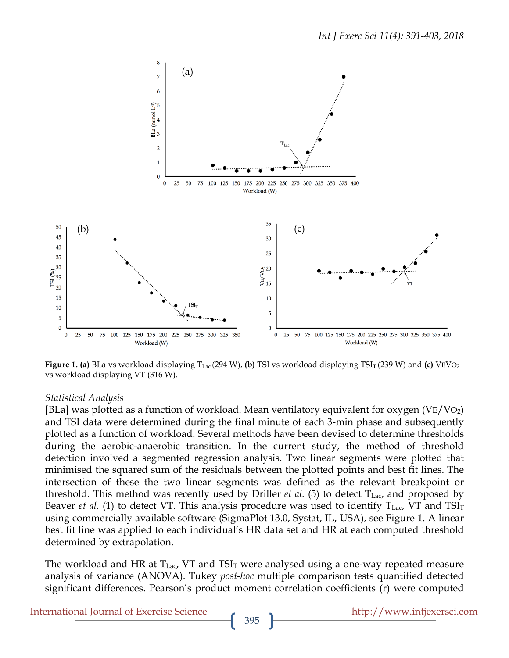

Figure 1. (a) BLa vs workload displaying T<sub>Lac</sub> (294 W), (b) TSI vs workload displaying TSI<sub>T</sub> (239 W) and (c) VEVO<sub>2</sub> vs workload displaying VT (316 W).

#### *Statistical Analysis*

[BLa] was plotted as a function of workload. Mean ventilatory equivalent for oxygen  $(\text{VE/VO}_2)$ and TSI data were determined during the final minute of each 3-min phase and subsequently plotted as a function of workload. Several methods have been devised to determine thresholds during the aerobic-anaerobic transition. In the current study, the method of threshold detection involved a segmented regression analysis. Two linear segments were plotted that minimised the squared sum of the residuals between the plotted points and best fit lines. The intersection of these the two linear segments was defined as the relevant breakpoint or threshold. This method was recently used by Driller *et al.* (5) to detect  $T_{Lac}$ , and proposed by Beaver *et al.* (1) to detect VT. This analysis procedure was used to identify  $T_{\text{Lac}}$ , VT and  $TSI_T$ using commercially available software (SigmaPlot 13.0, Systat, IL, USA), see Figure 1. A linear best fit line was applied to each individual's HR data set and HR at each computed threshold determined by extrapolation.

The workload and HR at  $T_{Lac}$ , VT and  $TSI_T$  were analysed using a one-way repeated measure analysis of variance (ANOVA). Tukey *post-hoc* multiple comparison tests quantified detected significant differences. Pearson's product moment correlation coefficients (r) were computed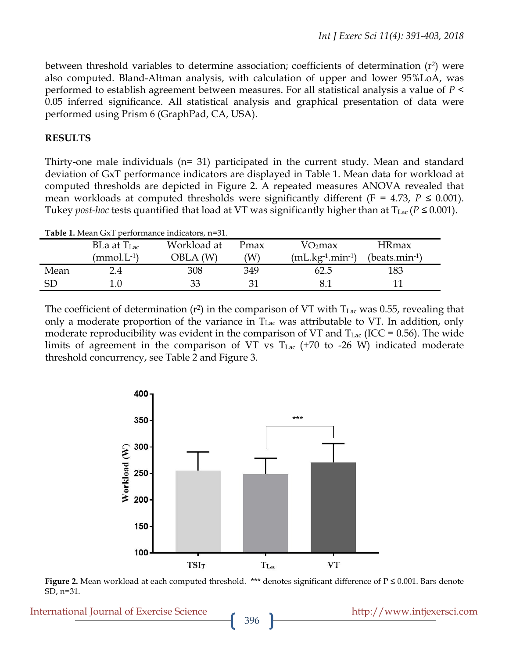between threshold variables to determine association; coefficients of determination  $(r^2)$  were also computed. Bland-Altman analysis, with calculation of upper and lower 95%LoA, was performed to establish agreement between measures. For all statistical analysis a value of *P* < 0.05 inferred significance. All statistical analysis and graphical presentation of data were performed using Prism 6 (GraphPad, CA, USA).

### **RESULTS**

Thirty-one male individuals (n= 31) participated in the current study. Mean and standard deviation of GxT performance indicators are displayed in Table 1. Mean data for workload at computed thresholds are depicted in Figure 2. A repeated measures ANOVA revealed that mean workloads at computed thresholds were significantly different ( $F = 4.73$ ,  $P \le 0.001$ ). Tukey *post-hoc* tests quantified that load at VT was significantly higher than at  $T_{\text{Lac}}$  ( $P \le 0.001$ ).

| Table 1. Mean GxT performance indicators, n=31. |                  |             |      |                         |                 |  |  |  |  |
|-------------------------------------------------|------------------|-------------|------|-------------------------|-----------------|--|--|--|--|
|                                                 | BLa at $T_{Lac}$ | Workload at | Pmax | VO <sub>2</sub> max     | <b>HRmax</b>    |  |  |  |  |
|                                                 | $(mmol.L^{-1})$  | OBLA (W)    | W)   | $(mL.kg^{-1}.min^{-1})$ | $(beats.min-1)$ |  |  |  |  |
| Mean                                            | 2.4              | 308         | 349  | 62.5                    | 183             |  |  |  |  |
| <b>SD</b>                                       | 1.0              | 33          |      |                         |                 |  |  |  |  |

The coefficient of determination ( $r^2$ ) in the comparison of VT with  $T_{\text{Lac}}$  was 0.55, revealing that only a moderate proportion of the variance in  $T_{\text{Lac}}$  was attributable to VT. In addition, only moderate reproducibility was evident in the comparison of VT and  $T_{Lac}$  (ICC = 0.56). The wide limits of agreement in the comparison of VT vs  $T_{Lac}$  (+70 to -26 W) indicated moderate threshold concurrency, see Table 2 and Figure 3.



**Figure 2.** Mean workload at each computed threshold. \*\*\* denotes significant difference of P ≤ 0.001. Bars denote SD, n=31.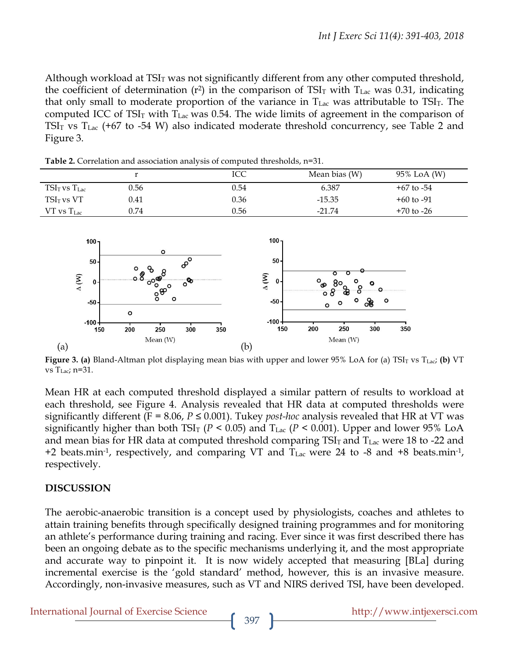Although workload at  $TSI<sub>T</sub>$  was not significantly different from any other computed threshold, the coefficient of determination ( $r^2$ ) in the comparison of TSI<sub>T</sub> with T<sub>Lac</sub> was 0.31, indicating that only small to moderate proportion of the variance in  $T_{\text{Lac}}$  was attributable to TSI $_T$ . The computed ICC of TSI<sub>T</sub> with T<sub>Lac</sub> was 0.54. The wide limits of agreement in the comparison of TSI $_T$  vs  $T_{Lac}$  (+67 to -54 W) also indicated moderate threshold concurrency, see Table 2 and Figure 3.

|                   |      | ICC  | Mean bias (W) | 95% LoA (W)    |
|-------------------|------|------|---------------|----------------|
| $TSIT$ vs $TLac$  | 0.56 | 0.54 | 6.387         | $+67$ to $-54$ |
| $TSIT$ vs VT      | 0.41 | 0.36 | $-15.35$      | $+60$ to $-91$ |
| $VT$ vs $T_{Lac}$ | 0.74 | 0.56 | $-21.74$      | $+70$ to $-26$ |

**Table 2.** Correlation and association analysis of computed thresholds, n=31.



**Figure 3. (a)** Bland-Altman plot displaying mean bias with upper and lower 95% LoA for (a) TSI<sub>T</sub> vs T<sub>Lac</sub>; (b) VT vs  $T_{Lac}$ ; n=31.

Mean HR at each computed threshold displayed a similar pattern of results to workload at each threshold, see Figure 4. Analysis revealed that HR data at computed thresholds were significantly different ( $F = 8.06$ ,  $P \le 0.001$ ). Tukey *post-hoc* analysis revealed that HR at VT was significantly higher than both TSI<sub>T</sub> ( $P < 0.05$ ) and T<sub>Lac</sub> ( $P < 0.001$ ). Upper and lower 95% LoA and mean bias for HR data at computed threshold comparing  $TSI<sub>T</sub>$  and  $T<sub>Lac</sub>$  were 18 to -22 and +2 beats.min<sup>-1</sup>, respectively, and comparing VT and  $T_{Lac}$  were 24 to -8 and +8 beats.min<sup>-1</sup>, respectively.

### **DISCUSSION**

The aerobic-anaerobic transition is a concept used by physiologists, coaches and athletes to attain training benefits through specifically designed training programmes and for monitoring an athlete's performance during training and racing. Ever since it was first described there has been an ongoing debate as to the specific mechanisms underlying it, and the most appropriate and accurate way to pinpoint it. It is now widely accepted that measuring [BLa] during incremental exercise is the 'gold standard' method, however, this is an invasive measure. Accordingly, non-invasive measures, such as VT and NIRS derived TSI, have been developed.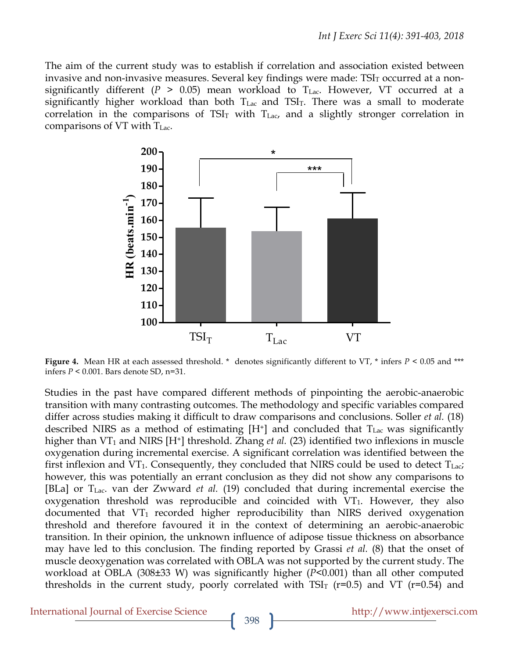The aim of the current study was to establish if correlation and association existed between invasive and non-invasive measures. Several key findings were made:  $TSI<sub>T</sub>$  occurred at a nonsignificantly different ( $P > 0.05$ ) mean workload to T<sub>Lac</sub>. However, VT occurred at a significantly higher workload than both  $T_{Lac}$  and  $TSI_T$ . There was a small to moderate correlation in the comparisons of  $TSI<sub>T</sub>$  with  $T<sub>Lac</sub>$ , and a slightly stronger correlation in comparisons of VT with TLac.



**Figure 4.** Mean HR at each assessed threshold. \* denotes significantly different to VT, \* infers  $P \le 0.05$  and \*\*\* infers *P* < 0.001. Bars denote SD, n=31.

Studies in the past have compared different methods of pinpointing the aerobic-anaerobic transition with many contrasting outcomes. The methodology and specific variables compared differ across studies making it difficult to draw comparisons and conclusions. Soller *et al.* (18) described NIRS as a method of estimating  $[H^+]$  and concluded that  $T_{\text{Lac}}$  was significantly higher than VT<sub>1</sub> and NIRS [H<sup>+</sup>] threshold. Zhang *et al.* (23) identified two inflexions in muscle oxygenation during incremental exercise. A significant correlation was identified between the first inflexion and VT<sub>1</sub>. Consequently, they concluded that NIRS could be used to detect  $T_{Lac}$ ; however, this was potentially an errant conclusion as they did not show any comparisons to [BLa] or TLac. van der Zwward *et al.* (19) concluded that during incremental exercise the oxygenation threshold was reproducible and coincided with  $VT_1$ . However, they also documented that  $VT_1$  recorded higher reproducibility than NIRS derived oxygenation threshold and therefore favoured it in the context of determining an aerobic-anaerobic transition. In their opinion, the unknown influence of adipose tissue thickness on absorbance may have led to this conclusion. The finding reported by Grassi *et al.* (8) that the onset of muscle deoxygenation was correlated with OBLA was not supported by the current study. The workload at OBLA (308±33 W) was significantly higher (*P*<0.001) than all other computed thresholds in the current study, poorly correlated with  $TSI<sub>T</sub>$  (r=0.5) and VT (r=0.54) and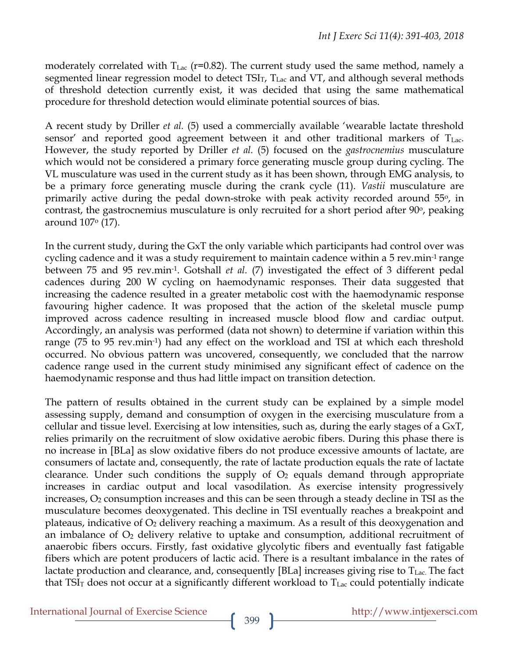moderately correlated with  $T_{\text{Lac}}$  (r=0.82). The current study used the same method, namely a segmented linear regression model to detect  $TSI<sub>T</sub>$ ,  $T<sub>Lac</sub>$  and  $VT$ , and although several methods of threshold detection currently exist, it was decided that using the same mathematical procedure for threshold detection would eliminate potential sources of bias.

A recent study by Driller *et al.* (5) used a commercially available 'wearable lactate threshold sensor' and reported good agreement between it and other traditional markers of  $T_{Lac}$ . However, the study reported by Driller *et al.* (5) focused on the *gastrocnemius* musculature which would not be considered a primary force generating muscle group during cycling. The VL musculature was used in the current study as it has been shown, through EMG analysis, to be a primary force generating muscle during the crank cycle (11). *Vastii* musculature are primarily active during the pedal down-stroke with peak activity recorded around 55o, in contrast, the gastrocnemius musculature is only recruited for a short period after 90<sup>o</sup>, peaking around 107o (17).

In the current study, during the GxT the only variable which participants had control over was cycling cadence and it was a study requirement to maintain cadence within a 5 rev.min-1 range between 75 and 95 rev.min-1. Gotshall *et al.* (7) investigated the effect of 3 different pedal cadences during 200 W cycling on haemodynamic responses. Their data suggested that increasing the cadence resulted in a greater metabolic cost with the haemodynamic response favouring higher cadence. It was proposed that the action of the skeletal muscle pump improved across cadence resulting in increased muscle blood flow and cardiac output. Accordingly, an analysis was performed (data not shown) to determine if variation within this range (75 to 95 rev.min-1) had any effect on the workload and TSI at which each threshold occurred. No obvious pattern was uncovered, consequently, we concluded that the narrow cadence range used in the current study minimised any significant effect of cadence on the haemodynamic response and thus had little impact on transition detection.

The pattern of results obtained in the current study can be explained by a simple model assessing supply, demand and consumption of oxygen in the exercising musculature from a cellular and tissue level. Exercising at low intensities, such as, during the early stages of a GxT, relies primarily on the recruitment of slow oxidative aerobic fibers. During this phase there is no increase in [BLa] as slow oxidative fibers do not produce excessive amounts of lactate, are consumers of lactate and, consequently, the rate of lactate production equals the rate of lactate clearance. Under such conditions the supply of  $O<sub>2</sub>$  equals demand through appropriate increases in cardiac output and local vasodilation. As exercise intensity progressively increases,  $O_2$  consumption increases and this can be seen through a steady decline in TSI as the musculature becomes deoxygenated. This decline in TSI eventually reaches a breakpoint and plateaus, indicative of  $O_2$  delivery reaching a maximum. As a result of this deoxygenation and an imbalance of  $O_2$  delivery relative to uptake and consumption, additional recruitment of anaerobic fibers occurs. Firstly, fast oxidative glycolytic fibers and eventually fast fatigable fibers which are potent producers of lactic acid. There is a resultant imbalance in the rates of lactate production and clearance, and, consequently [BLa] increases giving rise to T<sub>Lac</sub>. The fact that TSI $<sub>T</sub>$  does not occur at a significantly different workload to  $T<sub>Lac</sub>$  could potentially indicate</sub>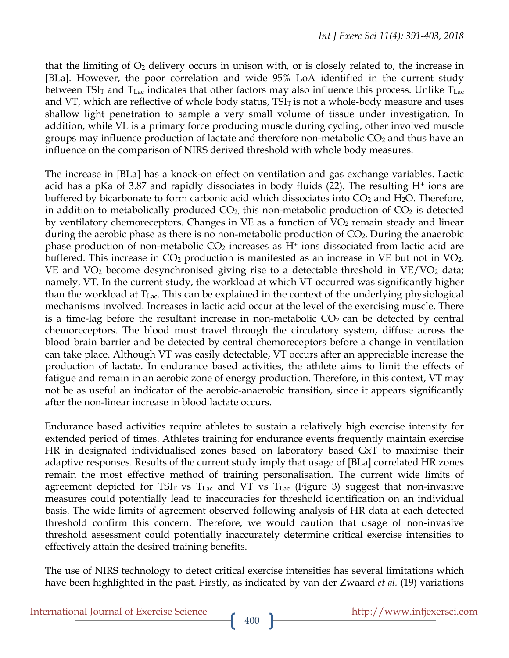that the limiting of  $O_2$  delivery occurs in unison with, or is closely related to, the increase in [BLa]. However, the poor correlation and wide 95% LoA identified in the current study between  $TSI<sub>T</sub>$  and  $T<sub>Lac</sub>$  indicates that other factors may also influence this process. Unlike  $T<sub>Lac</sub>$ and VT, which are reflective of whole body status,  $TSI<sub>T</sub>$  is not a whole-body measure and uses shallow light penetration to sample a very small volume of tissue under investigation. In addition, while VL is a primary force producing muscle during cycling, other involved muscle groups may influence production of lactate and therefore non-metabolic  $CO<sub>2</sub>$  and thus have an influence on the comparison of NIRS derived threshold with whole body measures.

The increase in [BLa] has a knock-on effect on ventilation and gas exchange variables. Lactic acid has a pKa of 3.87 and rapidly dissociates in body fluids  $(22)$ . The resulting H<sup>+</sup> ions are buffered by bicarbonate to form carbonic acid which dissociates into  $CO<sub>2</sub>$  and  $H<sub>2</sub>O$ . Therefore, in addition to metabolically produced  $CO<sub>2</sub>$ , this non-metabolic production of  $CO<sub>2</sub>$  is detected by ventilatory chemoreceptors. Changes in  $VE$  as a function of  $VO<sub>2</sub>$  remain steady and linear during the aerobic phase as there is no non-metabolic production of  $CO<sub>2</sub>$ . During the anaerobic phase production of non-metabolic  $CO<sub>2</sub>$  increases as  $H<sup>+</sup>$  ions dissociated from lactic acid are buffered. This increase in  $CO<sub>2</sub>$  production is manifested as an increase in VE but not in VO<sub>2</sub>. VE and  $VO<sub>2</sub>$  become desynchronised giving rise to a detectable threshold in VE/VO<sub>2</sub> data; namely, VT. In the current study, the workload at which VT occurred was significantly higher than the workload at  $T_{\text{Lac}}$ . This can be explained in the context of the underlying physiological mechanisms involved. Increases in lactic acid occur at the level of the exercising muscle. There is a time-lag before the resultant increase in non-metabolic  $CO<sub>2</sub>$  can be detected by central chemoreceptors. The blood must travel through the circulatory system, diffuse across the blood brain barrier and be detected by central chemoreceptors before a change in ventilation can take place. Although VT was easily detectable, VT occurs after an appreciable increase the production of lactate. In endurance based activities, the athlete aims to limit the effects of fatigue and remain in an aerobic zone of energy production. Therefore, in this context, VT may not be as useful an indicator of the aerobic-anaerobic transition, since it appears significantly after the non-linear increase in blood lactate occurs.

Endurance based activities require athletes to sustain a relatively high exercise intensity for extended period of times. Athletes training for endurance events frequently maintain exercise HR in designated individualised zones based on laboratory based GxT to maximise their adaptive responses. Results of the current study imply that usage of [BLa] correlated HR zones remain the most effective method of training personalisation. The current wide limits of agreement depicted for  $TSI<sub>T</sub>$  vs  $T<sub>Lac</sub>$  and VT vs  $T<sub>Lac</sub>$  (Figure 3) suggest that non-invasive measures could potentially lead to inaccuracies for threshold identification on an individual basis. The wide limits of agreement observed following analysis of HR data at each detected threshold confirm this concern. Therefore, we would caution that usage of non-invasive threshold assessment could potentially inaccurately determine critical exercise intensities to effectively attain the desired training benefits.

The use of NIRS technology to detect critical exercise intensities has several limitations which have been highlighted in the past. Firstly, as indicated by van der Zwaard *et al.* (19) variations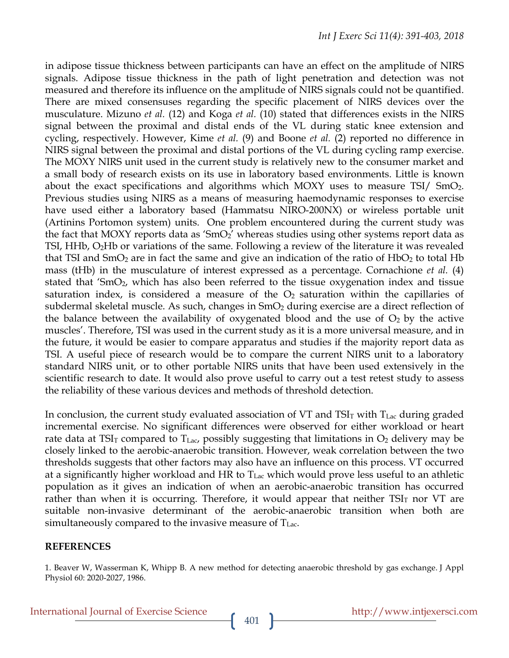in adipose tissue thickness between participants can have an effect on the amplitude of NIRS signals. Adipose tissue thickness in the path of light penetration and detection was not measured and therefore its influence on the amplitude of NIRS signals could not be quantified. There are mixed consensuses regarding the specific placement of NIRS devices over the musculature. Mizuno *et al.* (12) and Koga *et al.* (10) stated that differences exists in the NIRS signal between the proximal and distal ends of the VL during static knee extension and cycling, respectively. However, Kime *et al.* (9) and Boone *et al.* (2) reported no difference in NIRS signal between the proximal and distal portions of the VL during cycling ramp exercise. The MOXY NIRS unit used in the current study is relatively new to the consumer market and a small body of research exists on its use in laboratory based environments. Little is known about the exact specifications and algorithms which MOXY uses to measure TSI/ SmO2. Previous studies using NIRS as a means of measuring haemodynamic responses to exercise have used either a laboratory based (Hammatsu NIRO-200NX) or wireless portable unit (Artinins Portomon system) units. One problem encountered during the current study was the fact that MOXY reports data as ' $SmO<sub>2</sub>'$  whereas studies using other systems report data as TSI, HHb, O2Hb or variations of the same. Following a review of the literature it was revealed that TSI and  $SmO<sub>2</sub>$  are in fact the same and give an indication of the ratio of  $HbO<sub>2</sub>$  to total Hb mass (tHb) in the musculature of interest expressed as a percentage. Cornachione *et al.* (4) stated that 'SmO<sub>2</sub>, which has also been referred to the tissue oxygenation index and tissue saturation index, is considered a measure of the  $O<sub>2</sub>$  saturation within the capillaries of subdermal skeletal muscle. As such, changes in SmO<sub>2</sub> during exercise are a direct reflection of the balance between the availability of oxygenated blood and the use of  $O_2$  by the active muscles'. Therefore, TSI was used in the current study as it is a more universal measure, and in the future, it would be easier to compare apparatus and studies if the majority report data as TSI. A useful piece of research would be to compare the current NIRS unit to a laboratory standard NIRS unit, or to other portable NIRS units that have been used extensively in the scientific research to date. It would also prove useful to carry out a test retest study to assess the reliability of these various devices and methods of threshold detection.

In conclusion, the current study evaluated association of VT and  $TSI<sub>T</sub>$  with  $T<sub>Lac</sub>$  during graded incremental exercise. No significant differences were observed for either workload or heart rate data at TSI<sub>T</sub> compared to  $T_{\text{Lac}}$ , possibly suggesting that limitations in  $O_2$  delivery may be closely linked to the aerobic-anaerobic transition. However, weak correlation between the two thresholds suggests that other factors may also have an influence on this process. VT occurred at a significantly higher workload and HR to  $T_{\text{Lac}}$  which would prove less useful to an athletic population as it gives an indication of when an aerobic-anaerobic transition has occurred rather than when it is occurring. Therefore, it would appear that neither  $TSI<sub>T</sub>$  nor VT are suitable non-invasive determinant of the aerobic-anaerobic transition when both are simultaneously compared to the invasive measure of  $T_{\text{Lac}}$ .

#### **REFERENCES**

<sup>1.</sup> Beaver W, Wasserman K, Whipp B. A new method for detecting anaerobic threshold by gas exchange. J Appl Physiol 60: 2020-2027, 1986.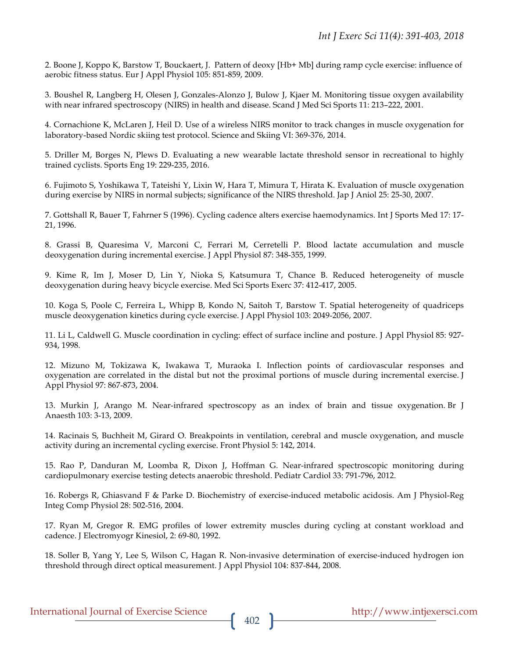2. Boone J, Koppo K, Barstow T, Bouckaert, J. Pattern of deoxy [Hb+ Mb] during ramp cycle exercise: influence of aerobic fitness status. Eur J Appl Physiol 105: 851-859, 2009.

3. Boushel R, Langberg H, Olesen J, Gonzales-Alonzo J, Bulow J, Kjaer M. Monitoring tissue oxygen availability with near infrared spectroscopy (NIRS) in health and disease. Scand J Med Sci Sports 11: 213–222, 2001.

4. Cornachione K, McLaren J, Heil D. Use of a wireless NIRS monitor to track changes in muscle oxygenation for laboratory-based Nordic skiing test protocol. Science and Skiing VI: 369-376, 2014.

5. Driller M, Borges N, Plews D. Evaluating a new wearable lactate threshold sensor in recreational to highly trained cyclists. Sports Eng 19: 229-235, 2016.

6. Fujimoto S, Yoshikawa T, Tateishi Y, Lixin W, Hara T, Mimura T, Hirata K. Evaluation of muscle oxygenation during exercise by NIRS in normal subjects; significance of the NIRS threshold. Jap J Aniol 25: 25-30, 2007.

7. Gottshall R, Bauer T, Fahrner S (1996). Cycling cadence alters exercise haemodynamics. Int J Sports Med 17: 17- 21, 1996.

8. Grassi B, Quaresima V, Marconi C, Ferrari M, Cerretelli P. Blood lactate accumulation and muscle deoxygenation during incremental exercise. J Appl Physiol 87: 348-355, 1999.

9. Kime R, Im J, Moser D, Lin Y, Nioka S, Katsumura T, Chance B. Reduced heterogeneity of muscle deoxygenation during heavy bicycle exercise. Med Sci Sports Exerc 37: 412-417, 2005.

10. Koga S, Poole C, Ferreira L, Whipp B, Kondo N, Saitoh T, Barstow T. Spatial heterogeneity of quadriceps muscle deoxygenation kinetics during cycle exercise. J Appl Physiol 103: 2049-2056, 2007.

11. Li L, Caldwell G. Muscle coordination in cycling: effect of surface incline and posture. J Appl Physiol 85: 927- 934, 1998.

12. Mizuno M, Tokizawa K, Iwakawa T, Muraoka I. Inflection points of cardiovascular responses and oxygenation are correlated in the distal but not the proximal portions of muscle during incremental exercise. J Appl Physiol 97: 867-873, 2004.

13. Murkin J, Arango M. Near-infrared spectroscopy as an index of brain and tissue oxygenation. Br J Anaesth 103: 3-13, 2009.

14. Racinais S, Buchheit M, Girard O. Breakpoints in ventilation, cerebral and muscle oxygenation, and muscle activity during an incremental cycling exercise. Front Physiol 5: 142, 2014.

15. Rao P, Danduran M, Loomba R, Dixon J, Hoffman G. Near-infrared spectroscopic monitoring during cardiopulmonary exercise testing detects anaerobic threshold. Pediatr Cardiol 33: 791-796, 2012.

16. Robergs R, Ghiasvand F & Parke D. Biochemistry of exercise-induced metabolic acidosis. Am J Physiol-Reg Integ Comp Physiol 28: 502-516, 2004.

17. Ryan M, Gregor R. EMG profiles of lower extremity muscles during cycling at constant workload and cadence. J Electromyogr Kinesiol, 2: 69-80, 1992.

18. Soller B, Yang Y, Lee S, Wilson C, Hagan R. Non-invasive determination of exercise-induced hydrogen ion threshold through direct optical measurement. J Appl Physiol 104: 837-844, 2008.